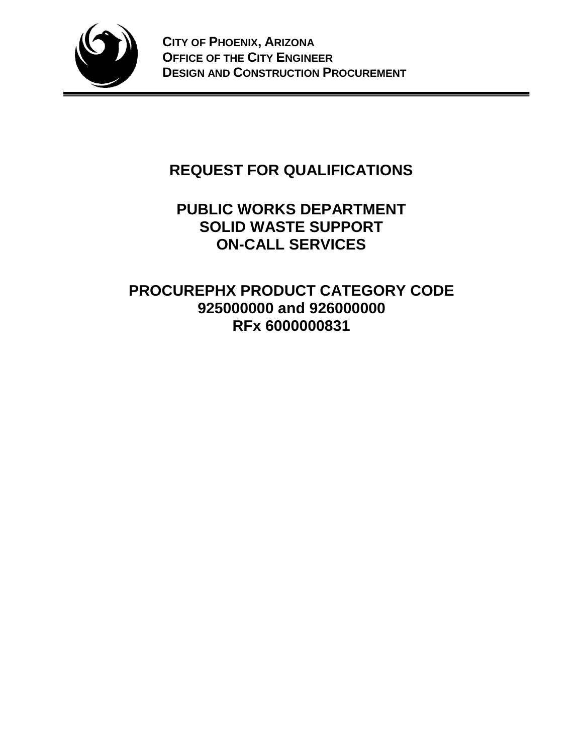

# **REQUEST FOR QUALIFICATIONS**

# **PUBLIC WORKS DEPARTMENT SOLID WASTE SUPPORT ON-CALL SERVICES**

# **PROCUREPHX PRODUCT CATEGORY CODE 925000000 and 926000000 RFx 6000000831**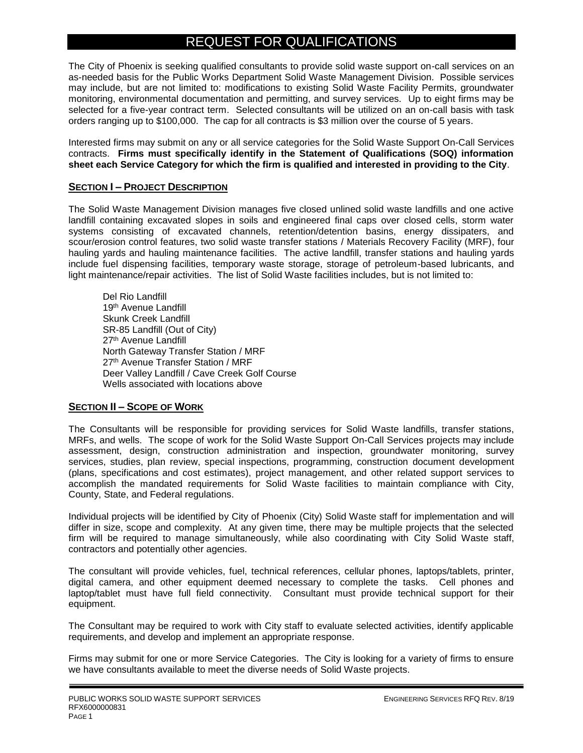# REQUEST FOR QUALIFICATIONS

The City of Phoenix is seeking qualified consultants to provide solid waste support on-call services on an as-needed basis for the Public Works Department Solid Waste Management Division. Possible services may include, but are not limited to: modifications to existing Solid Waste Facility Permits, groundwater monitoring, environmental documentation and permitting, and survey services. Up to eight firms may be selected for a five-year contract term. Selected consultants will be utilized on an on-call basis with task orders ranging up to \$100,000. The cap for all contracts is \$3 million over the course of 5 years.

Interested firms may submit on any or all service categories for the Solid Waste Support On-Call Services contracts. **Firms must specifically identify in the Statement of Qualifications (SOQ) information sheet each Service Category for which the firm is qualified and interested in providing to the City**.

### **SECTION I – PROJECT DESCRIPTION**

The Solid Waste Management Division manages five closed unlined solid waste landfills and one active landfill containing excavated slopes in soils and engineered final caps over closed cells, storm water systems consisting of excavated channels, retention/detention basins, energy dissipaters, and scour/erosion control features, two solid waste transfer stations / Materials Recovery Facility (MRF), four hauling yards and hauling maintenance facilities. The active landfill, transfer stations and hauling yards include fuel dispensing facilities, temporary waste storage, storage of petroleum-based lubricants, and light maintenance/repair activities. The list of Solid Waste facilities includes, but is not limited to:

Del Rio Landfill 19th Avenue Landfill Skunk Creek Landfill SR-85 Landfill (Out of City) 27<sup>th</sup> Avenue Landfill North Gateway Transfer Station / MRF 27th Avenue Transfer Station / MRF Deer Valley Landfill / Cave Creek Golf Course Wells associated with locations above

# **SECTION II – SCOPE OF WORK**

The Consultants will be responsible for providing services for Solid Waste landfills, transfer stations, MRFs, and wells. The scope of work for the Solid Waste Support On-Call Services projects may include assessment, design, construction administration and inspection, groundwater monitoring, survey services, studies, plan review, special inspections, programming, construction document development (plans, specifications and cost estimates), project management, and other related support services to accomplish the mandated requirements for Solid Waste facilities to maintain compliance with City, County, State, and Federal regulations.

Individual projects will be identified by City of Phoenix (City) Solid Waste staff for implementation and will differ in size, scope and complexity. At any given time, there may be multiple projects that the selected firm will be required to manage simultaneously, while also coordinating with City Solid Waste staff, contractors and potentially other agencies.

The consultant will provide vehicles, fuel, technical references, cellular phones, laptops/tablets, printer, digital camera, and other equipment deemed necessary to complete the tasks. Cell phones and laptop/tablet must have full field connectivity. Consultant must provide technical support for their equipment.

The Consultant may be required to work with City staff to evaluate selected activities, identify applicable requirements, and develop and implement an appropriate response.

Firms may submit for one or more Service Categories. The City is looking for a variety of firms to ensure we have consultants available to meet the diverse needs of Solid Waste projects.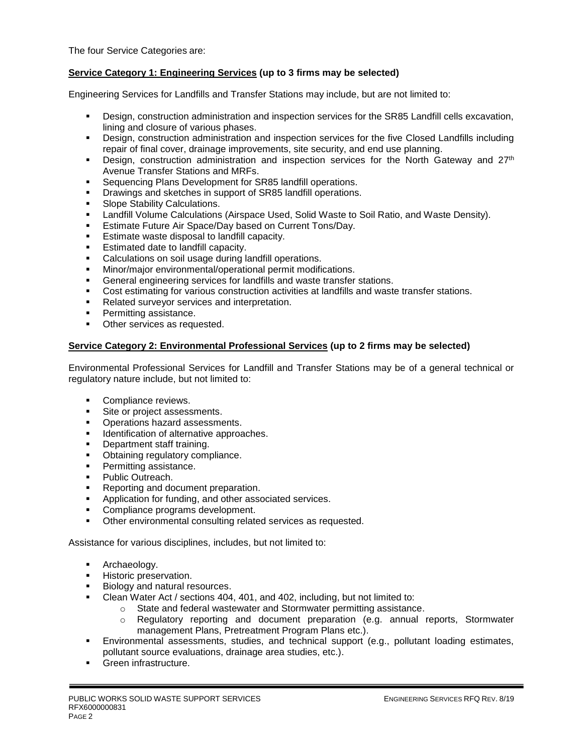The four Service Categories are:

## **Service Category 1: Engineering Services (up to 3 firms may be selected)**

Engineering Services for Landfills and Transfer Stations may include, but are not limited to:

- Design, construction administration and inspection services for the SR85 Landfill cells excavation, lining and closure of various phases.
- Design, construction administration and inspection services for the five Closed Landfills including repair of final cover, drainage improvements, site security, and end use planning.
- **•** Design, construction administration and inspection services for the North Gateway and  $27<sup>th</sup>$ Avenue Transfer Stations and MRFs.
- Sequencing Plans Development for SR85 landfill operations.
- **Drawings and sketches in support of SR85 landfill operations.**
- Slope Stability Calculations.
- Landfill Volume Calculations (Airspace Used, Solid Waste to Soil Ratio, and Waste Density).
- Estimate Future Air Space/Day based on Current Tons/Day.
- **Estimate waste disposal to landfill capacity.**
- Estimated date to landfill capacity.
- Calculations on soil usage during landfill operations.
- Minor/major environmental/operational permit modifications.
- General engineering services for landfills and waste transfer stations.
- **Cost estimating for various construction activities at landfills and waste transfer stations.**
- Related surveyor services and interpretation.
- **•** Permitting assistance.
- **•** Other services as requested.

#### **Service Category 2: Environmental Professional Services (up to 2 firms may be selected)**

Environmental Professional Services for Landfill and Transfer Stations may be of a general technical or regulatory nature include, but not limited to:

- Compliance reviews.
- Site or project assessments.
- Operations hazard assessments.
- **■** Identification of alternative approaches.
- Department staff training.
- Obtaining regulatory compliance.
- Permitting assistance.
- Public Outreach.
- Reporting and document preparation.
- Application for funding, and other associated services.
- Compliance programs development.
- Other environmental consulting related services as requested.

Assistance for various disciplines, includes, but not limited to:

- **■** Archaeology.
- Historic preservation.
- Biology and natural resources.
- Clean Water Act / sections 404, 401, and 402, including, but not limited to:
	- o State and federal wastewater and Stormwater permitting assistance.
		- o Regulatory reporting and document preparation (e.g. annual reports, Stormwater management Plans, Pretreatment Program Plans etc.).
- Environmental assessments, studies, and technical support (e.g., pollutant loading estimates, pollutant source evaluations, drainage area studies, etc.).
- Green infrastructure.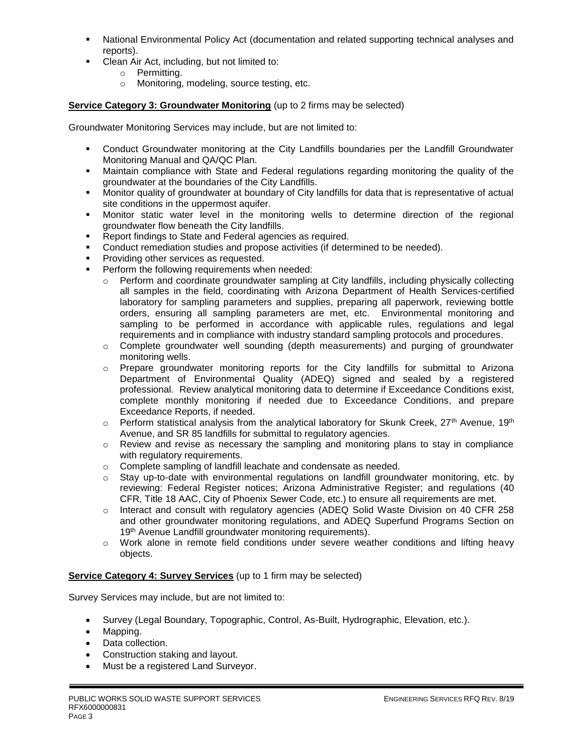- National Environmental Policy Act (documentation and related supporting technical analyses and reports).
- Clean Air Act, including, but not limited to:
	- o Permitting.
	- o Monitoring, modeling, source testing, etc.

# **Service Category 3: Groundwater Monitoring** (up to 2 firms may be selected)

Groundwater Monitoring Services may include, but are not limited to:

- **•** Conduct Groundwater monitoring at the City Landfills boundaries per the Landfill Groundwater Monitoring Manual and QA/QC Plan.
- **■** Maintain compliance with State and Federal regulations regarding monitoring the quality of the groundwater at the boundaries of the City Landfills.
- Monitor quality of groundwater at boundary of City landfills for data that is representative of actual site conditions in the uppermost aquifer.
- Monitor static water level in the monitoring wells to determine direction of the regional groundwater flow beneath the City landfills.
- Report findings to State and Federal agencies as required.
- **•** Conduct remediation studies and propose activities (if determined to be needed).
- Providing other services as requested.
- Perform the following requirements when needed:
	- o Perform and coordinate groundwater sampling at City landfills, including physically collecting all samples in the field, coordinating with Arizona Department of Health Services-certified laboratory for sampling parameters and supplies, preparing all paperwork, reviewing bottle orders, ensuring all sampling parameters are met, etc. Environmental monitoring and sampling to be performed in accordance with applicable rules, regulations and legal requirements and in compliance with industry standard sampling protocols and procedures.
	- $\circ$  Complete groundwater well sounding (depth measurements) and purging of groundwater monitoring wells.
	- o Prepare groundwater monitoring reports for the City landfills for submittal to Arizona Department of Environmental Quality (ADEQ) signed and sealed by a registered professional. Review analytical monitoring data to determine if Exceedance Conditions exist, complete monthly monitoring if needed due to Exceedance Conditions, and prepare Exceedance Reports, if needed.
	- $\circ$  Perform statistical analysis from the analytical laboratory for Skunk Creek, 27<sup>th</sup> Avenue, 19<sup>th</sup> Avenue, and SR 85 landfills for submittal to regulatory agencies.
	- $\circ$  Review and revise as necessary the sampling and monitoring plans to stay in compliance with regulatory requirements.
	- o Complete sampling of landfill leachate and condensate as needed.
	- $\circ$  Stay up-to-date with environmental regulations on landfill groundwater monitoring, etc. by reviewing: Federal Register notices; Arizona Administrative Register; and regulations (40 CFR, Title 18 AAC, City of Phoenix Sewer Code, etc.) to ensure all requirements are met.
	- o Interact and consult with regulatory agencies (ADEQ Solid Waste Division on 40 CFR 258 and other groundwater monitoring regulations, and ADEQ Superfund Programs Section on 19<sup>th</sup> Avenue Landfill groundwater monitoring requirements).
	- $\circ$  Work alone in remote field conditions under severe weather conditions and lifting heavy objects.

### **Service Category 4: Survey Services** (up to 1 firm may be selected)

Survey Services may include, but are not limited to:

- Survey (Legal Boundary, Topographic, Control, As-Built, Hydrographic, Elevation, etc.).
- Mapping.
- Data collection.
- Construction staking and layout.
- Must be a registered Land Surveyor.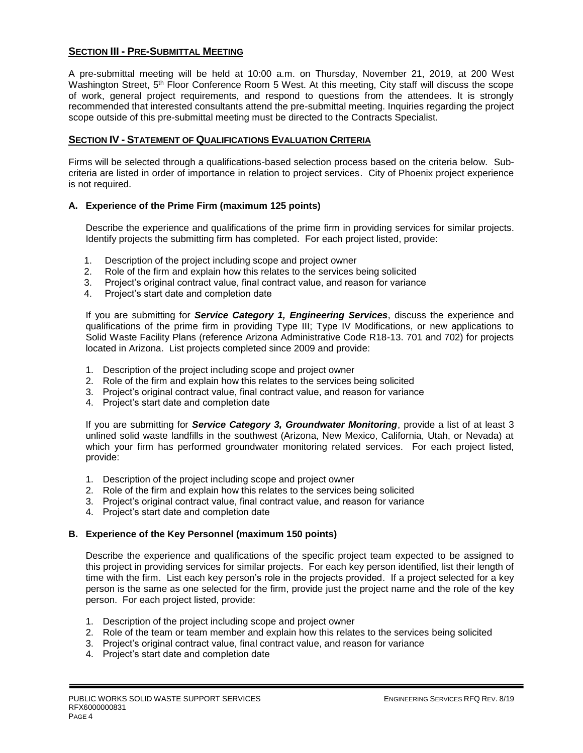## **SECTION III - PRE-SUBMITTAL MEETING**

A pre-submittal meeting will be held at 10:00 a.m. on Thursday, November 21, 2019, at 200 West Washington Street, 5<sup>th</sup> Floor Conference Room 5 West. At this meeting, City staff will discuss the scope of work, general project requirements, and respond to questions from the attendees. It is strongly recommended that interested consultants attend the pre-submittal meeting. Inquiries regarding the project scope outside of this pre-submittal meeting must be directed to the Contracts Specialist.

### **SECTION IV - STATEMENT OF QUALIFICATIONS EVALUATION CRITERIA**

Firms will be selected through a qualifications-based selection process based on the criteria below. Subcriteria are listed in order of importance in relation to project services. City of Phoenix project experience is not required.

### **A. Experience of the Prime Firm (maximum 125 points)**

Describe the experience and qualifications of the prime firm in providing services for similar projects. Identify projects the submitting firm has completed. For each project listed, provide:

- 1. Description of the project including scope and project owner
- 2. Role of the firm and explain how this relates to the services being solicited
- 3. Project's original contract value, final contract value, and reason for variance
- 4. Project's start date and completion date

If you are submitting for *Service Category 1, Engineering Services*, discuss the experience and qualifications of the prime firm in providing Type III; Type IV Modifications, or new applications to Solid Waste Facility Plans (reference Arizona Administrative Code R18-13. 701 and 702) for projects located in Arizona. List projects completed since 2009 and provide:

- 1. Description of the project including scope and project owner
- 2. Role of the firm and explain how this relates to the services being solicited
- 3. Project's original contract value, final contract value, and reason for variance
- 4. Project's start date and completion date

If you are submitting for *Service Category 3, Groundwater Monitoring*, provide a list of at least 3 unlined solid waste landfills in the southwest (Arizona, New Mexico, California, Utah, or Nevada) at which your firm has performed groundwater monitoring related services. For each project listed, provide:

- 1. Description of the project including scope and project owner
- 2. Role of the firm and explain how this relates to the services being solicited
- 3. Project's original contract value, final contract value, and reason for variance
- 4. Project's start date and completion date

### **B. Experience of the Key Personnel (maximum 150 points)**

Describe the experience and qualifications of the specific project team expected to be assigned to this project in providing services for similar projects. For each key person identified, list their length of time with the firm. List each key person's role in the projects provided. If a project selected for a key person is the same as one selected for the firm, provide just the project name and the role of the key person. For each project listed, provide:

- 1. Description of the project including scope and project owner
- 2. Role of the team or team member and explain how this relates to the services being solicited
- 3. Project's original contract value, final contract value, and reason for variance
- 4. Project's start date and completion date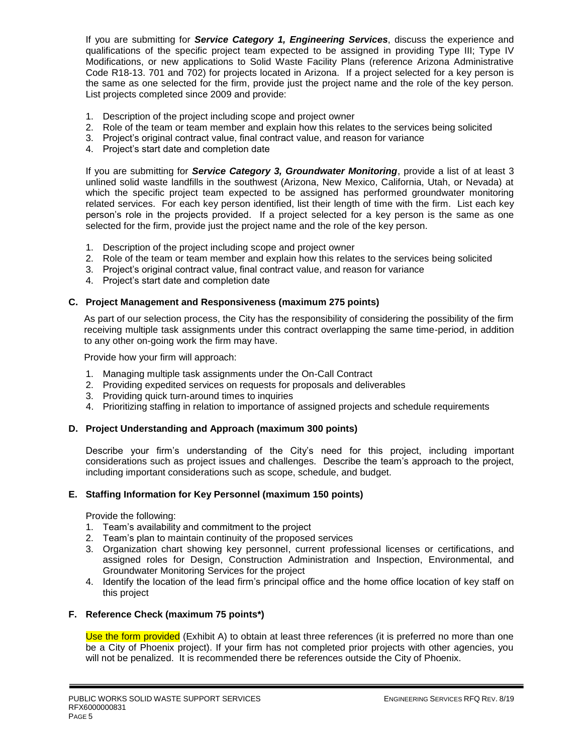If you are submitting for *Service Category 1, Engineering Services*, discuss the experience and qualifications of the specific project team expected to be assigned in providing Type III; Type IV Modifications, or new applications to Solid Waste Facility Plans (reference Arizona Administrative Code R18-13. 701 and 702) for projects located in Arizona. If a project selected for a key person is the same as one selected for the firm, provide just the project name and the role of the key person. List projects completed since 2009 and provide:

- 1. Description of the project including scope and project owner
- 2. Role of the team or team member and explain how this relates to the services being solicited
- 3. Project's original contract value, final contract value, and reason for variance
- 4. Project's start date and completion date

If you are submitting for *Service Category 3, Groundwater Monitoring*, provide a list of at least 3 unlined solid waste landfills in the southwest (Arizona, New Mexico, California, Utah, or Nevada) at which the specific project team expected to be assigned has performed groundwater monitoring related services. For each key person identified, list their length of time with the firm. List each key person's role in the projects provided. If a project selected for a key person is the same as one selected for the firm, provide just the project name and the role of the key person.

- 1. Description of the project including scope and project owner
- 2. Role of the team or team member and explain how this relates to the services being solicited
- 3. Project's original contract value, final contract value, and reason for variance
- 4. Project's start date and completion date

## **C. Project Management and Responsiveness (maximum 275 points)**

As part of our selection process, the City has the responsibility of considering the possibility of the firm receiving multiple task assignments under this contract overlapping the same time-period, in addition to any other on-going work the firm may have.

Provide how your firm will approach:

- 1. Managing multiple task assignments under the On-Call Contract
- 2. Providing expedited services on requests for proposals and deliverables
- 3. Providing quick turn-around times to inquiries
- 4. Prioritizing staffing in relation to importance of assigned projects and schedule requirements

# **D. Project Understanding and Approach (maximum 300 points)**

Describe your firm's understanding of the City's need for this project, including important considerations such as project issues and challenges. Describe the team's approach to the project, including important considerations such as scope, schedule, and budget.

# **E. Staffing Information for Key Personnel (maximum 150 points)**

Provide the following:

- 1. Team's availability and commitment to the project
- 2. Team's plan to maintain continuity of the proposed services
- 3. Organization chart showing key personnel, current professional licenses or certifications, and assigned roles for Design, Construction Administration and Inspection, Environmental, and Groundwater Monitoring Services for the project
- 4. Identify the location of the lead firm's principal office and the home office location of key staff on this project

# **F. Reference Check (maximum 75 points\*)**

Use the form provided (Exhibit A) to obtain at least three references (it is preferred no more than one be a City of Phoenix project). If your firm has not completed prior projects with other agencies, you will not be penalized. It is recommended there be references outside the City of Phoenix.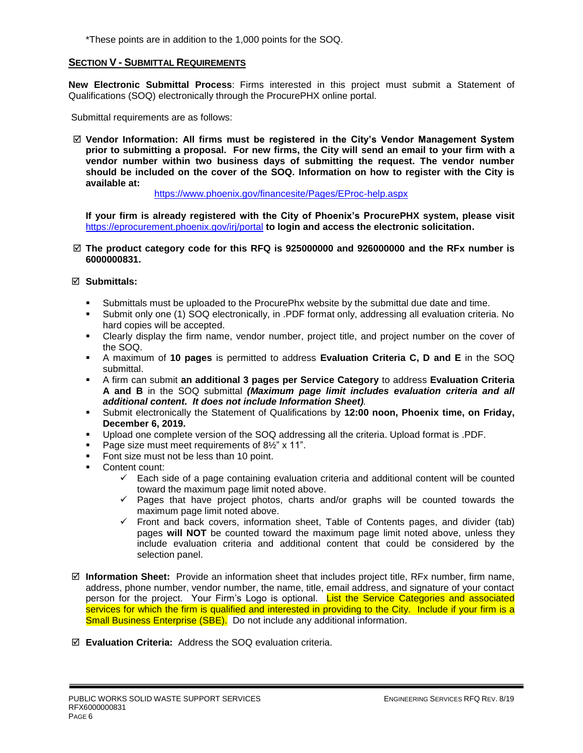\*These points are in addition to the 1,000 points for the SOQ.

### **SECTION V - SUBMITTAL REQUIREMENTS**

**New Electronic Submittal Process**: Firms interested in this project must submit a Statement of Qualifications (SOQ) electronically through the ProcurePHX online portal.

Submittal requirements are as follows:

 **Vendor Information: All firms must be registered in the City's Vendor Management System prior to submitting a proposal. For new firms, the City will send an email to your firm with a vendor number within two business days of submitting the request. The vendor number should be included on the cover of the SOQ. Information on how to register with the City is available at:** 

<https://www.phoenix.gov/financesite/Pages/EProc-help.aspx>

**If your firm is already registered with the City of Phoenix's ProcurePHX system, please visit**  <https://eprocurement.phoenix.gov/irj/portal> **to login and access the electronic solicitation.**

 **The product category code for this RFQ is 925000000 and 926000000 and the RFx number is 6000000831.** 

#### **Submittals:**

- Submittals must be uploaded to the ProcurePhx website by the submittal due date and time.
- Submit only one (1) SOQ electronically, in .PDF format only, addressing all evaluation criteria. No hard copies will be accepted.
- Clearly display the firm name, vendor number, project title, and project number on the cover of the SOQ.
- A maximum of **10 pages** is permitted to address **Evaluation Criteria C, D and E** in the SOQ submittal.
- A firm can submit **an additional 3 pages per Service Category** to address **Evaluation Criteria A and B** in the SOQ submittal *(Maximum page limit includes evaluation criteria and all additional content. It does not include Information Sheet).*
- Submit electronically the Statement of Qualifications by **12:00 noon, Phoenix time, on Friday, December 6, 2019.**
- Upload one complete version of the SOQ addressing all the criteria. Upload format is .PDF.
- Page size must meet requirements of 8½" x 11".
- Font size must not be less than 10 point.
- Content count:
	- $\checkmark$  Each side of a page containing evaluation criteria and additional content will be counted toward the maximum page limit noted above.
	- ✓ Pages that have project photos, charts and/or graphs will be counted towards the maximum page limit noted above.
	- $\checkmark$  Front and back covers, information sheet, Table of Contents pages, and divider (tab) pages **will NOT** be counted toward the maximum page limit noted above, unless they include evaluation criteria and additional content that could be considered by the selection panel.
- **Information Sheet:** Provide an information sheet that includes project title, RFx number, firm name, address, phone number, vendor number, the name, title, email address, and signature of your contact person for the project. Your Firm's Logo is optional. List the Service Categories and associated services for which the firm is qualified and interested in providing to the City. Include if your firm is a Small Business Enterprise (SBE). Do not include any additional information.
- **Evaluation Criteria:** Address the SOQ evaluation criteria.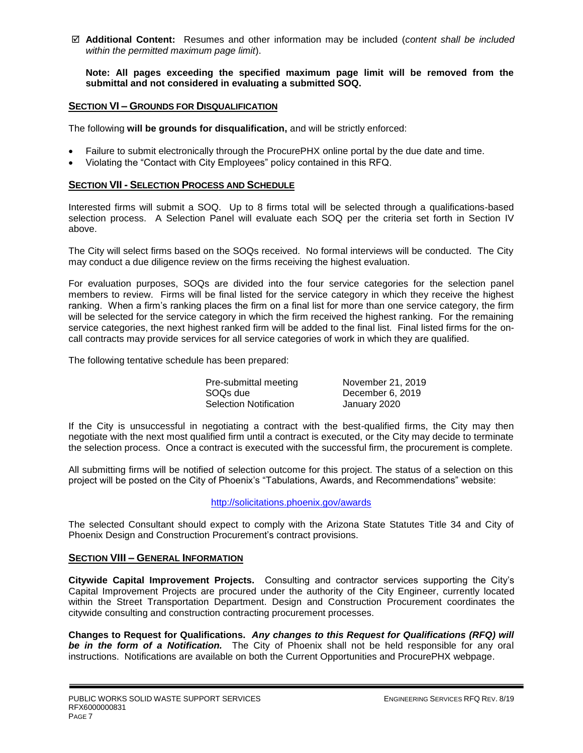**Additional Content:** Resumes and other information may be included (*content shall be included within the permitted maximum page limit*).

**Note: All pages exceeding the specified maximum page limit will be removed from the submittal and not considered in evaluating a submitted SOQ.** 

### **SECTION VI – GROUNDS FOR DISQUALIFICATION**

The following **will be grounds for disqualification,** and will be strictly enforced:

- Failure to submit electronically through the ProcurePHX online portal by the due date and time.
- Violating the "Contact with City Employees" policy contained in this RFQ.

#### **SECTION VII - SELECTION PROCESS AND SCHEDULE**

Interested firms will submit a SOQ. Up to 8 firms total will be selected through a qualifications-based selection process. A Selection Panel will evaluate each SOQ per the criteria set forth in Section IV above.

The City will select firms based on the SOQs received. No formal interviews will be conducted. The City may conduct a due diligence review on the firms receiving the highest evaluation.

For evaluation purposes, SOQs are divided into the four service categories for the selection panel members to review. Firms will be final listed for the service category in which they receive the highest ranking. When a firm's ranking places the firm on a final list for more than one service category, the firm will be selected for the service category in which the firm received the highest ranking. For the remaining service categories, the next highest ranked firm will be added to the final list. Final listed firms for the oncall contracts may provide services for all service categories of work in which they are qualified.

The following tentative schedule has been prepared:

Pre-submittal meeting November 21, 2019 SOQs due December 6, 2019 Selection Notification January 2020

If the City is unsuccessful in negotiating a contract with the best-qualified firms, the City may then negotiate with the next most qualified firm until a contract is executed, or the City may decide to terminate the selection process. Once a contract is executed with the successful firm, the procurement is complete.

All submitting firms will be notified of selection outcome for this project. The status of a selection on this project will be posted on the City of Phoenix's "Tabulations, Awards, and Recommendations" website:

#### <http://solicitations.phoenix.gov/awards>

The selected Consultant should expect to comply with the Arizona State Statutes Title 34 and City of Phoenix Design and Construction Procurement's contract provisions.

#### **SECTION VIII – GENERAL INFORMATION**

**Citywide Capital Improvement Projects.** Consulting and contractor services supporting the City's Capital Improvement Projects are procured under the authority of the City Engineer, currently located within the Street Transportation Department. Design and Construction Procurement coordinates the citywide consulting and construction contracting procurement processes.

**Changes to Request for Qualifications.** *Any changes to this Request for Qualifications (RFQ) will be in the form of a Notification.* The City of Phoenix shall not be held responsible for any oral instructions. Notifications are available on both the Current Opportunities and ProcurePHX webpage.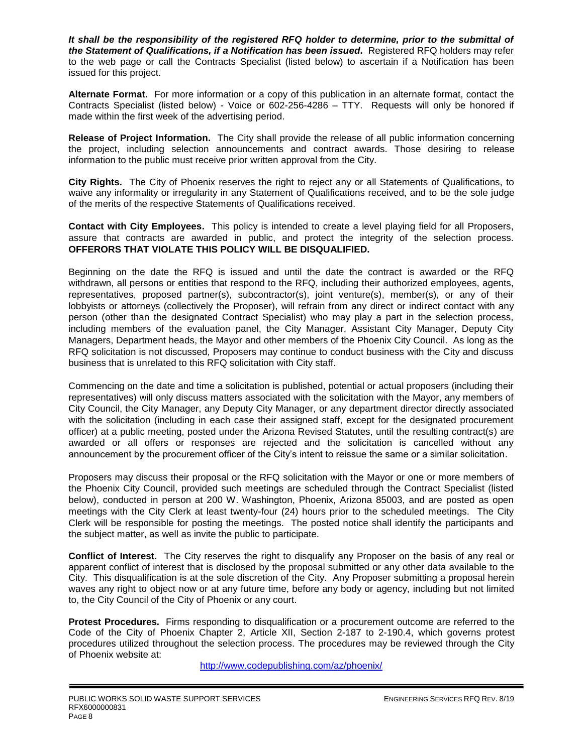*It shall be the responsibility of the registered RFQ holder to determine, prior to the submittal of the Statement of Qualifications, if a Notification has been issued***.** Registered RFQ holders may refer to the web page or call the Contracts Specialist (listed below) to ascertain if a Notification has been issued for this project.

**Alternate Format.** For more information or a copy of this publication in an alternate format, contact the Contracts Specialist (listed below) - Voice or 602-256-4286 – TTY. Requests will only be honored if made within the first week of the advertising period.

**Release of Project Information.** The City shall provide the release of all public information concerning the project, including selection announcements and contract awards. Those desiring to release information to the public must receive prior written approval from the City.

**City Rights.** The City of Phoenix reserves the right to reject any or all Statements of Qualifications, to waive any informality or irregularity in any Statement of Qualifications received, and to be the sole judge of the merits of the respective Statements of Qualifications received.

**Contact with City Employees.** This policy is intended to create a level playing field for all Proposers, assure that contracts are awarded in public, and protect the integrity of the selection process. **OFFERORS THAT VIOLATE THIS POLICY WILL BE DISQUALIFIED.**

Beginning on the date the RFQ is issued and until the date the contract is awarded or the RFQ withdrawn, all persons or entities that respond to the RFQ, including their authorized employees, agents, representatives, proposed partner(s), subcontractor(s), joint venture(s), member(s), or any of their lobbyists or attorneys (collectively the Proposer), will refrain from any direct or indirect contact with any person (other than the designated Contract Specialist) who may play a part in the selection process, including members of the evaluation panel, the City Manager, Assistant City Manager, Deputy City Managers, Department heads, the Mayor and other members of the Phoenix City Council. As long as the RFQ solicitation is not discussed, Proposers may continue to conduct business with the City and discuss business that is unrelated to this RFQ solicitation with City staff.

Commencing on the date and time a solicitation is published, potential or actual proposers (including their representatives) will only discuss matters associated with the solicitation with the Mayor, any members of City Council, the City Manager, any Deputy City Manager, or any department director directly associated with the solicitation (including in each case their assigned staff, except for the designated procurement officer) at a public meeting, posted under the Arizona Revised Statutes, until the resulting contract(s) are awarded or all offers or responses are rejected and the solicitation is cancelled without any announcement by the procurement officer of the City's intent to reissue the same or a similar solicitation.

Proposers may discuss their proposal or the RFQ solicitation with the Mayor or one or more members of the Phoenix City Council, provided such meetings are scheduled through the Contract Specialist (listed below), conducted in person at 200 W. Washington, Phoenix, Arizona 85003, and are posted as open meetings with the City Clerk at least twenty-four (24) hours prior to the scheduled meetings. The City Clerk will be responsible for posting the meetings. The posted notice shall identify the participants and the subject matter, as well as invite the public to participate.

**Conflict of Interest.** The City reserves the right to disqualify any Proposer on the basis of any real or apparent conflict of interest that is disclosed by the proposal submitted or any other data available to the City. This disqualification is at the sole discretion of the City. Any Proposer submitting a proposal herein waves any right to object now or at any future time, before any body or agency, including but not limited to, the City Council of the City of Phoenix or any court.

**Protest Procedures.** Firms responding to disqualification or a procurement outcome are referred to the Code of the City of Phoenix Chapter 2, Article XII, Section 2-187 to 2-190.4, which governs protest procedures utilized throughout the selection process. The procedures may be reviewed through the City of Phoenix website at:

<http://www.codepublishing.com/az/phoenix/>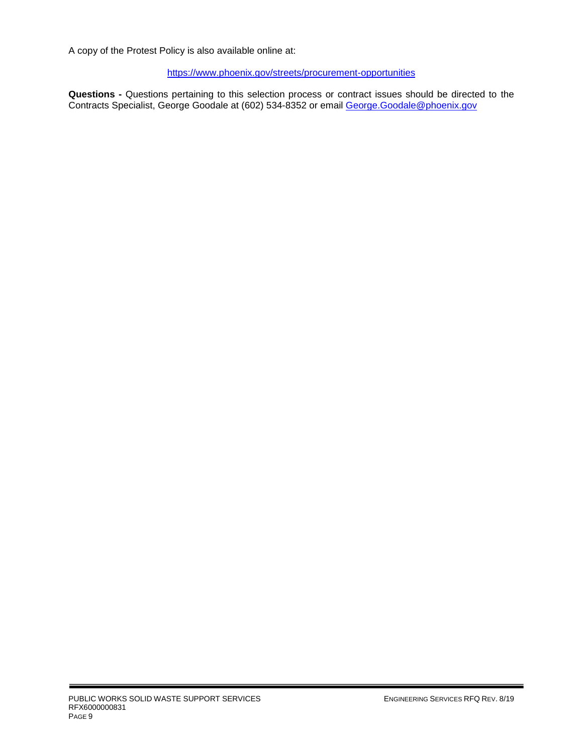A copy of the Protest Policy is also available online at:

<https://www.phoenix.gov/streets/procurement-opportunities>

**Questions -** Questions pertaining to this selection process or contract issues should be directed to the Contracts Specialist, George Goodale at (602) 534-8352 or email [George.Goodale@phoenix.gov](mailto:George.Goodale@phoenix.gov)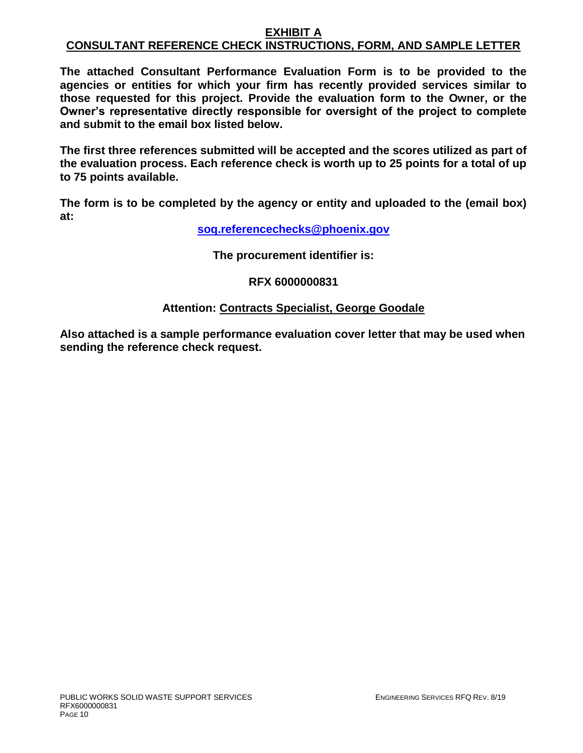## **EXHIBIT A CONSULTANT REFERENCE CHECK INSTRUCTIONS, FORM, AND SAMPLE LETTER**

**The attached Consultant Performance Evaluation Form is to be provided to the agencies or entities for which your firm has recently provided services similar to those requested for this project. Provide the evaluation form to the Owner, or the Owner's representative directly responsible for oversight of the project to complete and submit to the email box listed below.**

**The first three references submitted will be accepted and the scores utilized as part of the evaluation process. Each reference check is worth up to 25 points for a total of up to 75 points available.**

**The form is to be completed by the agency or entity and uploaded to the (email box) at:** 

**[soq.referencechecks@phoenix.gov](mailto:soq.referencechecks@phoenix.gov)**

**The procurement identifier is:**

**RFX 6000000831**

# **Attention: Contracts Specialist, George Goodale**

**Also attached is a sample performance evaluation cover letter that may be used when sending the reference check request.**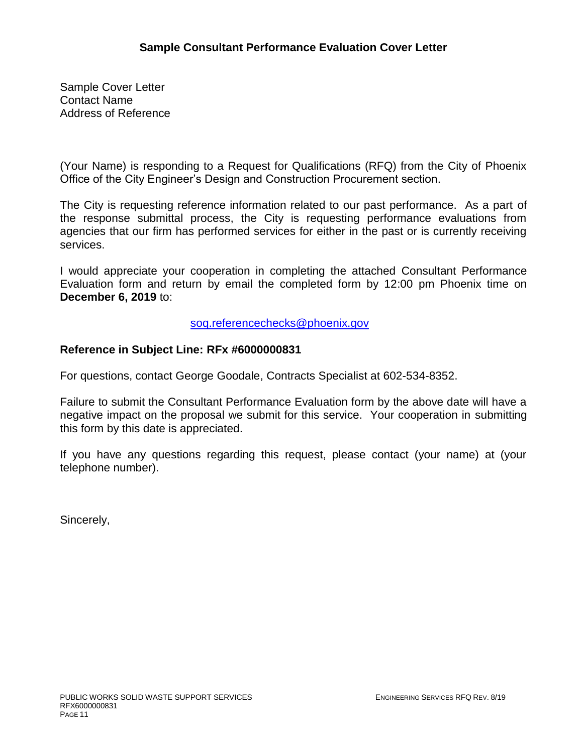Sample Cover Letter Contact Name Address of Reference

(Your Name) is responding to a Request for Qualifications (RFQ) from the City of Phoenix Office of the City Engineer's Design and Construction Procurement section.

The City is requesting reference information related to our past performance. As a part of the response submittal process, the City is requesting performance evaluations from agencies that our firm has performed services for either in the past or is currently receiving services.

I would appreciate your cooperation in completing the attached Consultant Performance Evaluation form and return by email the completed form by 12:00 pm Phoenix time on **December 6, 2019** to:

[soq.referencechecks@phoenix.gov](mailto:soq.referencechecks@phoenix.gov)

# **Reference in Subject Line: RFx #6000000831**

For questions, contact George Goodale, Contracts Specialist at 602-534-8352.

Failure to submit the Consultant Performance Evaluation form by the above date will have a negative impact on the proposal we submit for this service. Your cooperation in submitting this form by this date is appreciated.

If you have any questions regarding this request, please contact (your name) at (your telephone number).

Sincerely,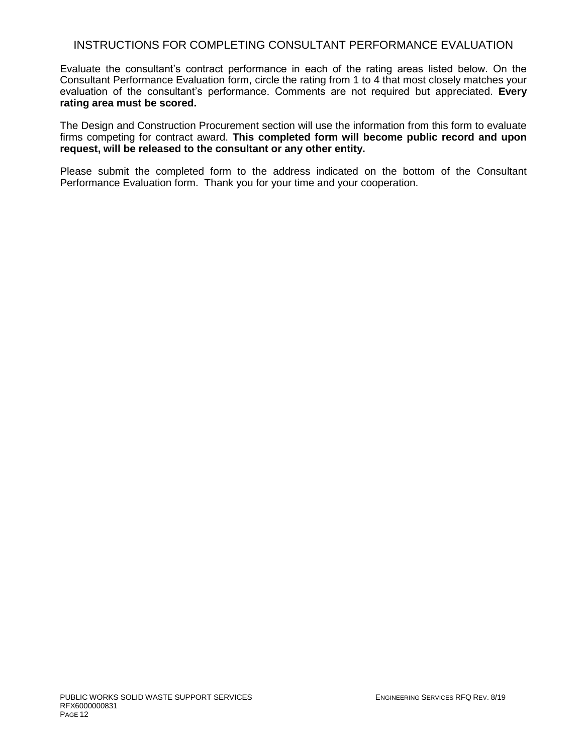# INSTRUCTIONS FOR COMPLETING CONSULTANT PERFORMANCE EVALUATION

Evaluate the consultant's contract performance in each of the rating areas listed below. On the Consultant Performance Evaluation form, circle the rating from 1 to 4 that most closely matches your evaluation of the consultant's performance. Comments are not required but appreciated. **Every rating area must be scored.** 

The Design and Construction Procurement section will use the information from this form to evaluate firms competing for contract award. **This completed form will become public record and upon request, will be released to the consultant or any other entity.**

Please submit the completed form to the address indicated on the bottom of the Consultant Performance Evaluation form. Thank you for your time and your cooperation.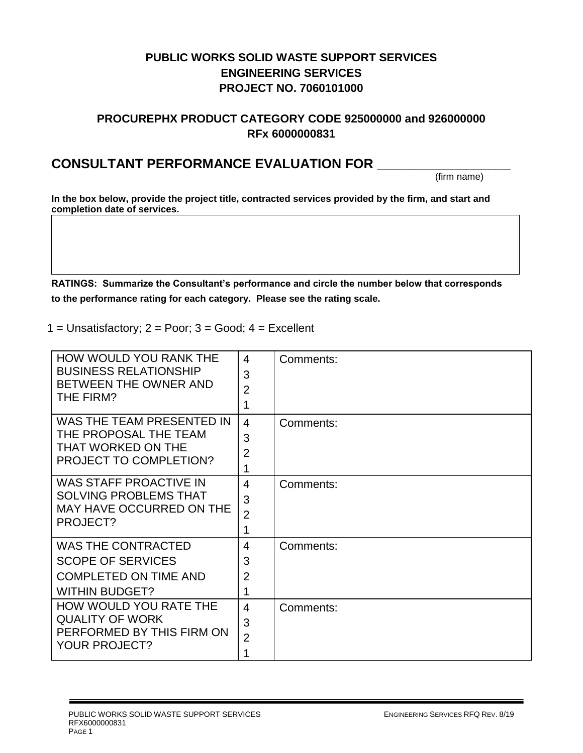# **PUBLIC WORKS SOLID WASTE SUPPORT SERVICES ENGINEERING SERVICES PROJECT NO. 7060101000**

# **PROCUREPHX PRODUCT CATEGORY CODE 925000000 and 926000000 RFx 6000000831**

# **CONSULTANT PERFORMANCE EVALUATION FOR \_\_\_\_\_\_\_\_\_\_\_\_\_\_\_\_\_\_**

(firm name)

**In the box below, provide the project title, contracted services provided by the firm, and start and completion date of services.**

**RATINGS: Summarize the Consultant's performance and circle the number below that corresponds to the performance rating for each category. Please see the rating scale.**

1 = Unsatisfactory;  $2 = Poor$ ;  $3 = Good$ ;  $4 = Excellent$ 

| HOW WOULD YOU RANK THE<br><b>BUSINESS RELATIONSHIP</b><br>BETWEEN THE OWNER AND<br>THE FIRM?                   | $\overline{4}$<br>3<br>$\overline{2}$<br>1 | Comments: |
|----------------------------------------------------------------------------------------------------------------|--------------------------------------------|-----------|
| WAS THE TEAM PRESENTED IN<br>THE PROPOSAL THE TEAM<br>THAT WORKED ON THE<br><b>PROJECT TO COMPLETION?</b>      | $\overline{4}$<br>3<br>$\overline{2}$<br>1 | Comments: |
| <b>WAS STAFF PROACTIVE IN</b><br><b>SOLVING PROBLEMS THAT</b><br>MAY HAVE OCCURRED ON THE<br>PROJECT?          | $\overline{4}$<br>3<br>$\overline{2}$<br>1 | Comments: |
| <b>WAS THE CONTRACTED</b><br><b>SCOPE OF SERVICES</b><br><b>COMPLETED ON TIME AND</b><br><b>WITHIN BUDGET?</b> | $\overline{4}$<br>3<br>$\overline{2}$<br>1 | Comments: |
| HOW WOULD YOU RATE THE<br><b>QUALITY OF WORK</b><br>PERFORMED BY THIS FIRM ON<br><b>YOUR PROJECT?</b>          | $\overline{4}$<br>3<br>$\overline{2}$<br>1 | Comments: |